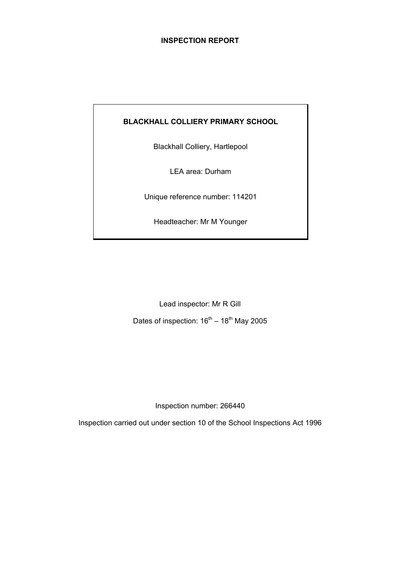## **INSPECTION REPORT**

## **BLACKHALL COLLIERY PRIMARY SCHOOL**

Blackhall Colliery, Hartlepool

LEA area: Durham

Unique reference number: 114201

Headteacher: Mr M Younger

Lead inspector: Mr R Gill

Dates of inspection:  $16^{th} - 18^{th}$  May 2005

Inspection number: 266440

Inspection carried out under section 10 of the School Inspections Act 1996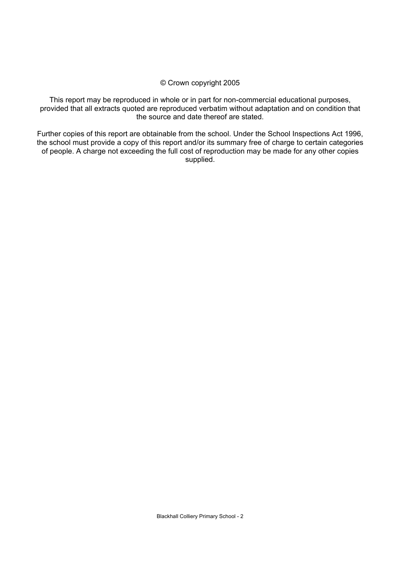#### © Crown copyright 2005

This report may be reproduced in whole or in part for non-commercial educational purposes, provided that all extracts quoted are reproduced verbatim without adaptation and on condition that the source and date thereof are stated.

Further copies of this report are obtainable from the school. Under the School Inspections Act 1996, the school must provide a copy of this report and/or its summary free of charge to certain categories of people. A charge not exceeding the full cost of reproduction may be made for any other copies supplied.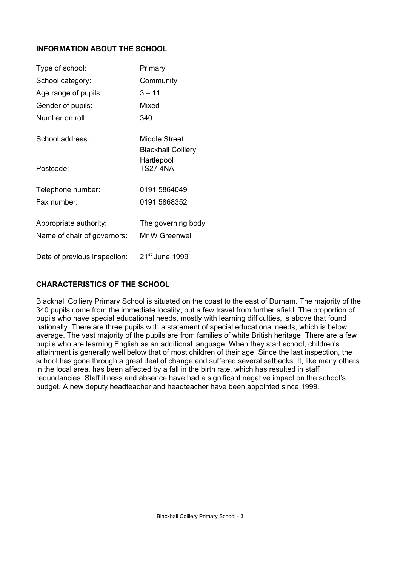# **INFORMATION ABOUT THE SCHOOL**

| Type of school:              | Primary                                    |
|------------------------------|--------------------------------------------|
| School category:             | Community                                  |
| Age range of pupils:         | $3 - 11$                                   |
| Gender of pupils:            | Mixed                                      |
| Number on roll:              | 340                                        |
| School address:              | Middle Street<br><b>Blackhall Colliery</b> |
| Postcode:                    | Hartlepool<br><b>TS27 4NA</b>              |
| Telephone number:            | 0191 5864049                               |
| Fax number:                  | 0191 5868352                               |
| Appropriate authority:       | The governing body                         |
| Name of chair of governors:  | Mr W Greenwell                             |
| Date of previous inspection: | 21 <sup>st</sup> June 1999                 |

# **CHARACTERISTICS OF THE SCHOOL**

Blackhall Colliery Primary School is situated on the coast to the east of Durham. The majority of the 340 pupils come from the immediate locality, but a few travel from further afield. The proportion of pupils who have special educational needs, mostly with learning difficulties, is above that found nationally. There are three pupils with a statement of special educational needs, which is below average. The vast majority of the pupils are from families of white British heritage. There are a few pupils who are learning English as an additional language. When they start school, children's attainment is generally well below that of most children of their age. Since the last inspection, the school has gone through a great deal of change and suffered several setbacks. It, like many others in the local area, has been affected by a fall in the birth rate, which has resulted in staff redundancies. Staff illness and absence have had a significant negative impact on the school's budget. A new deputy headteacher and headteacher have been appointed since 1999.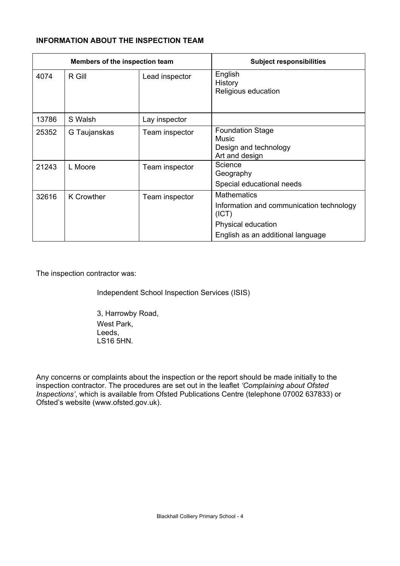# **INFORMATION ABOUT THE INSPECTION TEAM**

| Members of the inspection team |                   |                | <b>Subject responsibilities</b>                                                                                                    |
|--------------------------------|-------------------|----------------|------------------------------------------------------------------------------------------------------------------------------------|
| 4074                           | R Gill            | Lead inspector | English<br>History<br>Religious education                                                                                          |
| 13786                          | S Walsh           | Lay inspector  |                                                                                                                                    |
| 25352                          | G Taujanskas      | Team inspector | <b>Foundation Stage</b><br>Music<br>Design and technology<br>Art and design                                                        |
| 21243                          | L Moore           | Team inspector | Science<br>Geography<br>Special educational needs                                                                                  |
| 32616                          | <b>K</b> Crowther | Team inspector | <b>Mathematics</b><br>Information and communication technology<br>(ICT)<br>Physical education<br>English as an additional language |

The inspection contractor was:

Independent School Inspection Services (ISIS)

3, Harrowby Road, West Park, Leeds, LS16 5HN.

Any concerns or complaints about the inspection or the report should be made initially to the inspection contractor. The procedures are set out in the leaflet *'Complaining about Ofsted Inspections'*, which is available from Ofsted Publications Centre (telephone 07002 637833) or Ofsted's website (www.ofsted.gov.uk).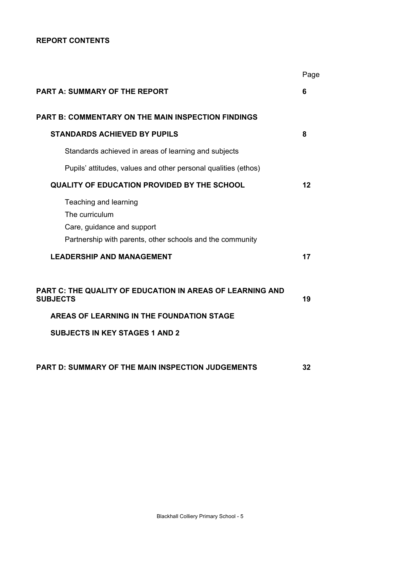## **REPORT CONTENTS**

|                                                                                                                                    | Page |
|------------------------------------------------------------------------------------------------------------------------------------|------|
| <b>PART A: SUMMARY OF THE REPORT</b>                                                                                               | 6    |
| PART B: COMMENTARY ON THE MAIN INSPECTION FINDINGS                                                                                 |      |
| <b>STANDARDS ACHIEVED BY PUPILS</b>                                                                                                | 8    |
| Standards achieved in areas of learning and subjects                                                                               |      |
| Pupils' attitudes, values and other personal qualities (ethos)                                                                     |      |
| <b>QUALITY OF EDUCATION PROVIDED BY THE SCHOOL</b>                                                                                 | 12   |
| Teaching and learning<br>The curriculum<br>Care, guidance and support<br>Partnership with parents, other schools and the community |      |
| <b>LEADERSHIP AND MANAGEMENT</b>                                                                                                   | 17   |
| PART C: THE QUALITY OF EDUCATION IN AREAS OF LEARNING AND<br><b>SUBJECTS</b><br>AREAS OF LEARNING IN THE FOUNDATION STAGE          | 19   |
|                                                                                                                                    |      |
| <b>SUBJECTS IN KEY STAGES 1 AND 2</b>                                                                                              |      |
| PART D: SUMMARY OF THE MAIN INSPECTION JUDGEMENTS                                                                                  | 32   |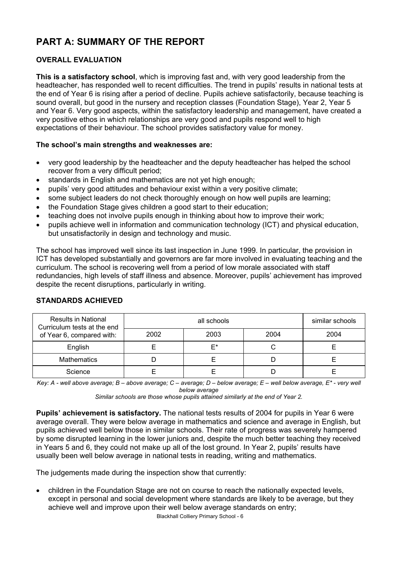# **PART A: SUMMARY OF THE REPORT**

# **OVERALL EVALUATION**

**This is a satisfactory school**, which is improving fast and, with very good leadership from the headteacher, has responded well to recent difficulties. The trend in pupils' results in national tests at the end of Year 6 is rising after a period of decline. Pupils achieve satisfactorily, because teaching is sound overall, but good in the nursery and reception classes (Foundation Stage), Year 2, Year 5 and Year 6. Very good aspects, within the satisfactory leadership and management, have created a very positive ethos in which relationships are very good and pupils respond well to high expectations of their behaviour. The school provides satisfactory value for money.

# **The school's main strengths and weaknesses are:**

- very good leadership by the headteacher and the deputy headteacher has helped the school recover from a very difficult period;
- standards in English and mathematics are not yet high enough;
- pupils' very good attitudes and behaviour exist within a very positive climate;
- some subject leaders do not check thoroughly enough on how well pupils are learning;
- the Foundation Stage gives children a good start to their education;
- teaching does not involve pupils enough in thinking about how to improve their work;
- pupils achieve well in information and communication technology (ICT) and physical education, but unsatisfactorily in design and technology and music.

The school has improved well since its last inspection in June 1999. In particular, the provision in ICT has developed substantially and governors are far more involved in evaluating teaching and the curriculum. The school is recovering well from a period of low morale associated with staff redundancies, high levels of staff illness and absence. Moreover, pupils' achievement has improved despite the recent disruptions, particularly in writing.

| <b>Results in National</b><br>Curriculum tests at the end |      | similar schools |      |      |
|-----------------------------------------------------------|------|-----------------|------|------|
| of Year 6, compared with:                                 | 2002 | 2003            | 2004 | 2004 |
| English                                                   |      | F*              |      |      |
| <b>Mathematics</b>                                        |      |                 |      |      |
| Science                                                   |      |                 |      |      |

### **STANDARDS ACHIEVED**

*Key: A - well above average; B – above average; C – average; D – below average; E – well below average, E\* - very well below average* 

*Similar schools are those whose pupils attained similarly at the end of Year 2.* 

**Pupils' achievement is satisfactory.** The national tests results of 2004 for pupils in Year 6 were average overall. They were below average in mathematics and science and average in English, but pupils achieved well below those in similar schools. Their rate of progress was severely hampered by some disrupted learning in the lower juniors and, despite the much better teaching they received in Years 5 and 6, they could not make up all of the lost ground. In Year 2, pupils' results have usually been well below average in national tests in reading, writing and mathematics.

The judgements made during the inspection show that currently:

• children in the Foundation Stage are not on course to reach the nationally expected levels, except in personal and social development where standards are likely to be average, but they achieve well and improve upon their well below average standards on entry;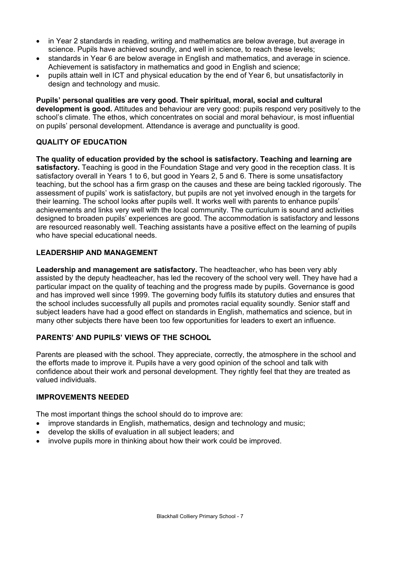- in Year 2 standards in reading, writing and mathematics are below average, but average in science. Pupils have achieved soundly, and well in science, to reach these levels;
- standards in Year 6 are below average in English and mathematics, and average in science. Achievement is satisfactory in mathematics and good in English and science;
- pupils attain well in ICT and physical education by the end of Year 6, but unsatisfactorily in design and technology and music.

**Pupils' personal qualities are very good. Their spiritual, moral, social and cultural development is good.** Attitudes and behaviour are very good: pupils respond very positively to the school's climate. The ethos, which concentrates on social and moral behaviour, is most influential on pupils' personal development. Attendance is average and punctuality is good.

## **QUALITY OF EDUCATION**

**The quality of education provided by the school is satisfactory. Teaching and learning are satisfactory.** Teaching is good in the Foundation Stage and very good in the reception class. It is satisfactory overall in Years 1 to 6, but good in Years 2, 5 and 6. There is some unsatisfactory teaching, but the school has a firm grasp on the causes and these are being tackled rigorously. The assessment of pupils' work is satisfactory, but pupils are not yet involved enough in the targets for their learning. The school looks after pupils well. It works well with parents to enhance pupils' achievements and links very well with the local community. The curriculum is sound and activities designed to broaden pupils' experiences are good. The accommodation is satisfactory and lessons are resourced reasonably well. Teaching assistants have a positive effect on the learning of pupils who have special educational needs.

## **LEADERSHIP AND MANAGEMENT**

**Leadership and management are satisfactory.** The headteacher, who has been very ably assisted by the deputy headteacher, has led the recovery of the school very well. They have had a particular impact on the quality of teaching and the progress made by pupils. Governance is good and has improved well since 1999. The governing body fulfils its statutory duties and ensures that the school includes successfully all pupils and promotes racial equality soundly. Senior staff and subject leaders have had a good effect on standards in English, mathematics and science, but in many other subjects there have been too few opportunities for leaders to exert an influence.

# **PARENTS' AND PUPILS' VIEWS OF THE SCHOOL**

Parents are pleased with the school. They appreciate, correctly, the atmosphere in the school and the efforts made to improve it. Pupils have a very good opinion of the school and talk with confidence about their work and personal development. They rightly feel that they are treated as valued individuals.

### **IMPROVEMENTS NEEDED**

The most important things the school should do to improve are:

- improve standards in English, mathematics, design and technology and music;
- develop the skills of evaluation in all subject leaders; and
- involve pupils more in thinking about how their work could be improved.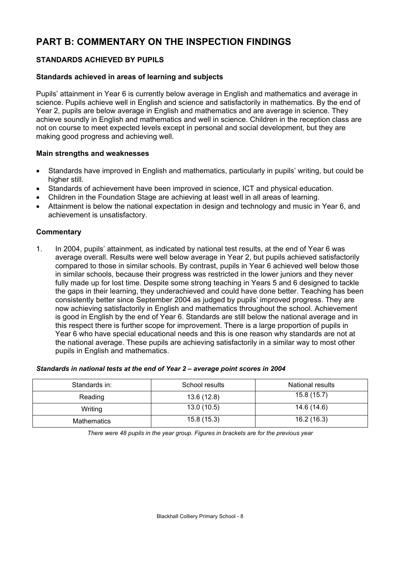# **PART B: COMMENTARY ON THE INSPECTION FINDINGS**

# **STANDARDS ACHIEVED BY PUPILS**

## **Standards achieved in areas of learning and subjects**

Pupils' attainment in Year 6 is currently below average in English and mathematics and average in science. Pupils achieve well in English and science and satisfactorily in mathematics. By the end of Year 2, pupils are below average in English and mathematics and are average in science. They achieve soundly in English and mathematics and well in science. Children in the reception class are not on course to meet expected levels except in personal and social development, but they are making good progress and achieving well.

## **Main strengths and weaknesses**

- Standards have improved in English and mathematics, particularly in pupils' writing, but could be higher still.
- Standards of achievement have been improved in science, ICT and physical education.
- Children in the Foundation Stage are achieving at least well in all areas of learning.
- Attainment is below the national expectation in design and technology and music in Year 6, and achievement is unsatisfactory.

# **Commentary**

1. In 2004, pupils' attainment, as indicated by national test results, at the end of Year 6 was average overall. Results were well below average in Year 2, but pupils achieved satisfactorily compared to those in similar schools. By contrast, pupils in Year 6 achieved well below those in similar schools, because their progress was restricted in the lower juniors and they never fully made up for lost time. Despite some strong teaching in Years 5 and 6 designed to tackle the gaps in their learning, they underachieved and could have done better. Teaching has been consistently better since September 2004 as judged by pupils' improved progress. They are now achieving satisfactorily in English and mathematics throughout the school. Achievement is good in English by the end of Year 6. Standards are still below the national average and in this respect there is further scope for improvement. There is a large proportion of pupils in Year 6 who have special educational needs and this is one reason why standards are not at the national average. These pupils are achieving satisfactorily in a similar way to most other pupils in English and mathematics.

#### *Standards in national tests at the end of Year 2 – average point scores in 2004*

| Standards in:      | School results | National results |
|--------------------|----------------|------------------|
| Reading            | 13.6 (12.8)    | 15.8(15.7)       |
| Writing            | 13.0(10.5)     | 14.6 (14.6)      |
| <b>Mathematics</b> | 15.8(15.3)     | 16.2 (16.3)      |

*There were 48 pupils in the year group. Figures in brackets are for the previous year*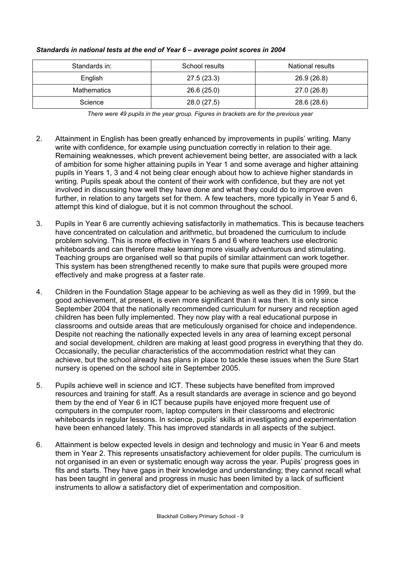| Standards in: | School results | National results |
|---------------|----------------|------------------|
| English       | 27.5(23.3)     | 26.9 (26.8)      |
| Mathematics   | 26.6(25.0)     | 27.0 (26.8)      |
| Science       | 28.0 (27.5)    | 28.6 (28.6)      |

#### *Standards in national tests at the end of Year 6 – average point scores in 2004*

*There were 49 pupils in the year group. Figures in brackets are for the previous year* 

- 2. Attainment in English has been greatly enhanced by improvements in pupils' writing. Many write with confidence, for example using punctuation correctly in relation to their age. Remaining weaknesses, which prevent achievement being better, are associated with a lack of ambition for some higher attaining pupils in Year 1 and some average and higher attaining pupils in Years 1, 3 and 4 not being clear enough about how to achieve higher standards in writing. Pupils speak about the content of their work with confidence, but they are not yet involved in discussing how well they have done and what they could do to improve even further, in relation to any targets set for them. A few teachers, more typically in Year 5 and 6. attempt this kind of dialogue, but it is not common throughout the school.
- 3. Pupils in Year 6 are currently achieving satisfactorily in mathematics. This is because teachers have concentrated on calculation and arithmetic, but broadened the curriculum to include problem solving. This is more effective in Years 5 and 6 where teachers use electronic whiteboards and can therefore make learning more visually adventurous and stimulating. Teaching groups are organised well so that pupils of similar attainment can work together. This system has been strengthened recently to make sure that pupils were grouped more effectively and make progress at a faster rate.
- 4. Children in the Foundation Stage appear to be achieving as well as they did in 1999, but the good achievement, at present, is even more significant than it was then. It is only since September 2004 that the nationally recommended curriculum for nursery and reception aged children has been fully implemented. They now play with a real educational purpose in classrooms and outside areas that are meticulously organised for choice and independence. Despite not reaching the nationally expected levels in any area of learning except personal and social development, children are making at least good progress in everything that they do. Occasionally, the peculiar characteristics of the accommodation restrict what they can achieve, but the school already has plans in place to tackle these issues when the Sure Start nursery is opened on the school site in September 2005.
- 5. Pupils achieve well in science and ICT. These subjects have benefited from improved resources and training for staff. As a result standards are average in science and go beyond them by the end of Year 6 in ICT because pupils have enjoyed more frequent use of computers in the computer room, laptop computers in their classrooms and electronic whiteboards in regular lessons. In science, pupils' skills at investigating and experimentation have been enhanced lately. This has improved standards in all aspects of the subject.
- 6. Attainment is below expected levels in design and technology and music in Year 6 and meets them in Year 2. This represents unsatisfactory achievement for older pupils. The curriculum is not organised in an even or systematic enough way across the year. Pupils' progress goes in fits and starts. They have gaps in their knowledge and understanding; they cannot recall what has been taught in general and progress in music has been limited by a lack of sufficient instruments to allow a satisfactory diet of experimentation and composition.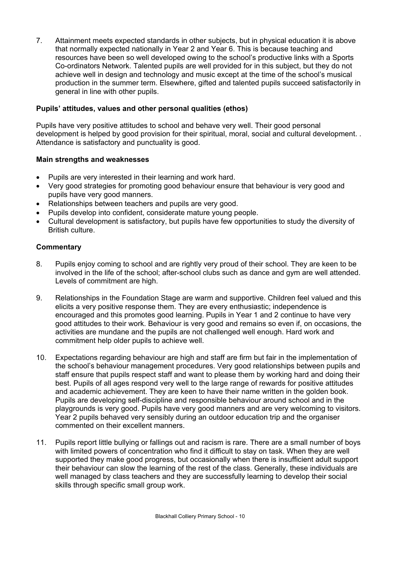7. Attainment meets expected standards in other subjects, but in physical education it is above that normally expected nationally in Year 2 and Year 6. This is because teaching and resources have been so well developed owing to the school's productive links with a Sports Co-ordinators Network. Talented pupils are well provided for in this subject, but they do not achieve well in design and technology and music except at the time of the school's musical production in the summer term. Elsewhere, gifted and talented pupils succeed satisfactorily in general in line with other pupils.

# **Pupils' attitudes, values and other personal qualities (ethos)**

Pupils have very positive attitudes to school and behave very well. Their good personal development is helped by good provision for their spiritual, moral, social and cultural development. . Attendance is satisfactory and punctuality is good.

# **Main strengths and weaknesses**

- Pupils are very interested in their learning and work hard.
- Very good strategies for promoting good behaviour ensure that behaviour is very good and pupils have very good manners.
- Relationships between teachers and pupils are very good.
- Pupils develop into confident, considerate mature young people.
- Cultural development is satisfactory, but pupils have few opportunities to study the diversity of British culture.

- 8. Pupils enjoy coming to school and are rightly very proud of their school. They are keen to be involved in the life of the school; after-school clubs such as dance and gym are well attended. Levels of commitment are high.
- 9. Relationships in the Foundation Stage are warm and supportive. Children feel valued and this elicits a very positive response them. They are every enthusiastic; independence is encouraged and this promotes good learning. Pupils in Year 1 and 2 continue to have very good attitudes to their work. Behaviour is very good and remains so even if, on occasions, the activities are mundane and the pupils are not challenged well enough. Hard work and commitment help older pupils to achieve well.
- 10. Expectations regarding behaviour are high and staff are firm but fair in the implementation of the school's behaviour management procedures. Very good relationships between pupils and staff ensure that pupils respect staff and want to please them by working hard and doing their best. Pupils of all ages respond very well to the large range of rewards for positive attitudes and academic achievement. They are keen to have their name written in the golden book. Pupils are developing self-discipline and responsible behaviour around school and in the playgrounds is very good. Pupils have very good manners and are very welcoming to visitors. Year 2 pupils behaved very sensibly during an outdoor education trip and the organiser commented on their excellent manners.
- 11. Pupils report little bullying or fallings out and racism is rare. There are a small number of boys with limited powers of concentration who find it difficult to stay on task. When they are well supported they make good progress, but occasionally when there is insufficient adult support their behaviour can slow the learning of the rest of the class. Generally, these individuals are well managed by class teachers and they are successfully learning to develop their social skills through specific small group work.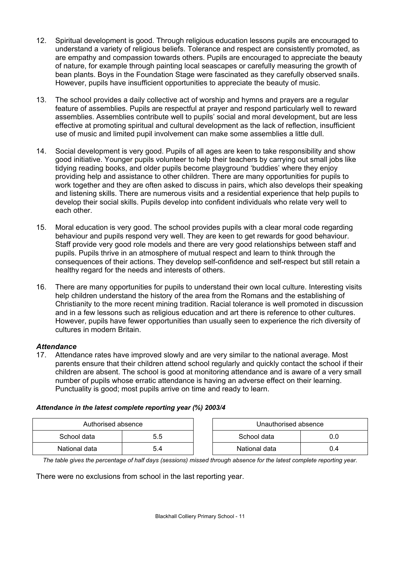- 12. Spiritual development is good. Through religious education lessons pupils are encouraged to understand a variety of religious beliefs. Tolerance and respect are consistently promoted, as are empathy and compassion towards others. Pupils are encouraged to appreciate the beauty of nature, for example through painting local seascapes or carefully measuring the growth of bean plants. Boys in the Foundation Stage were fascinated as they carefully observed snails. However, pupils have insufficient opportunities to appreciate the beauty of music.
- 13. The school provides a daily collective act of worship and hymns and prayers are a regular feature of assemblies. Pupils are respectful at prayer and respond particularly well to reward assemblies. Assemblies contribute well to pupils' social and moral development, but are less effective at promoting spiritual and cultural development as the lack of reflection, insufficient use of music and limited pupil involvement can make some assemblies a little dull.
- 14. Social development is very good. Pupils of all ages are keen to take responsibility and show good initiative. Younger pupils volunteer to help their teachers by carrying out small jobs like tidying reading books, and older pupils become playground 'buddies' where they enjoy providing help and assistance to other children. There are many opportunities for pupils to work together and they are often asked to discuss in pairs, which also develops their speaking and listening skills. There are numerous visits and a residential experience that help pupils to develop their social skills. Pupils develop into confident individuals who relate very well to each other.
- 15. Moral education is very good. The school provides pupils with a clear moral code regarding behaviour and pupils respond very well. They are keen to get rewards for good behaviour. Staff provide very good role models and there are very good relationships between staff and pupils. Pupils thrive in an atmosphere of mutual respect and learn to think through the consequences of their actions. They develop self-confidence and self-respect but still retain a healthy regard for the needs and interests of others.
- 16. There are many opportunities for pupils to understand their own local culture. Interesting visits help children understand the history of the area from the Romans and the establishing of Christianity to the more recent mining tradition. Racial tolerance is well promoted in discussion and in a few lessons such as religious education and art there is reference to other cultures. However, pupils have fewer opportunities than usually seen to experience the rich diversity of cultures in modern Britain.

# *Attendance*

17. Attendance rates have improved slowly and are very similar to the national average. Most parents ensure that their children attend school regularly and quickly contact the school if their children are absent. The school is good at monitoring attendance and is aware of a very small number of pupils whose erratic attendance is having an adverse effect on their learning. Punctuality is good; most pupils arrive on time and ready to learn.

### *Attendance in the latest complete reporting year (%) 2003/4*

| Authorised absence |     | Unauthorised absence |     |
|--------------------|-----|----------------------|-----|
| School data        | 5.5 | School data          |     |
| National data      | 9.4 | National data        | 0.4 |

*The table gives the percentage of half days (sessions) missed through absence for the latest complete reporting year.*

There were no exclusions from school in the last reporting year.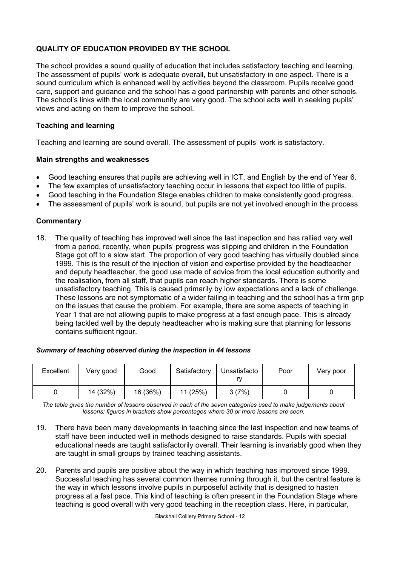# **QUALITY OF EDUCATION PROVIDED BY THE SCHOOL**

The school provides a sound quality of education that includes satisfactory teaching and learning. The assessment of pupils' work is adequate overall, but unsatisfactory in one aspect. There is a sound curriculum which is enhanced well by activities beyond the classroom. Pupils receive good care, support and guidance and the school has a good partnership with parents and other schools. The school's links with the local community are very good. The school acts well in seeking pupils' views and acting on them to improve the school.

## **Teaching and learning**

Teaching and learning are sound overall. The assessment of pupils' work is satisfactory.

### **Main strengths and weaknesses**

- Good teaching ensures that pupils are achieving well in ICT, and English by the end of Year 6.
- The few examples of unsatisfactory teaching occur in lessons that expect too little of pupils.
- Good teaching in the Foundation Stage enables children to make consistently good progress.
- The assessment of pupils' work is sound, but pupils are not yet involved enough in the process.

## **Commentary**

18. The quality of teaching has improved well since the last inspection and has rallied very well from a period, recently, when pupils' progress was slipping and children in the Foundation Stage got off to a slow start. The proportion of very good teaching has virtually doubled since 1999. This is the result of the injection of vision and expertise provided by the headteacher and deputy headteacher, the good use made of advice from the local education authority and the realisation, from all staff, that pupils can reach higher standards. There is some unsatisfactory teaching. This is caused primarily by low expectations and a lack of challenge. These lessons are not symptomatic of a wider failing in teaching and the school has a firm grip on the issues that cause the problem. For example, there are some aspects of teaching in Year 1 that are not allowing pupils to make progress at a fast enough pace. This is already being tackled well by the deputy headteacher who is making sure that planning for lessons contains sufficient rigour.

### *Summary of teaching observed during the inspection in 44 lessons*

| Excellent | Very good | Good     | Satisfactory | Unsatisfacto | Poor | Very poor |
|-----------|-----------|----------|--------------|--------------|------|-----------|
|           | 14 (32%)  | 16 (36%) | 11 (25%)     | 3(7%)        |      |           |

*The table gives the number of lessons observed in each of the seven categories used to make judgements about lessons; figures in brackets show percentages where 30 or more lessons are seen.* 

- 19. There have been many developments in teaching since the last inspection and new teams of staff have been inducted well in methods designed to raise standards. Pupils with special educational needs are taught satisfactorily overall. Their learning is invariably good when they are taught in small groups by trained teaching assistants.
- 20. Parents and pupils are positive about the way in which teaching has improved since 1999. Successful teaching has several common themes running through it, but the central feature is the way in which lessons involve pupils in purposeful activity that is designed to hasten progress at a fast pace. This kind of teaching is often present in the Foundation Stage where teaching is good overall with very good teaching in the reception class. Here, in particular,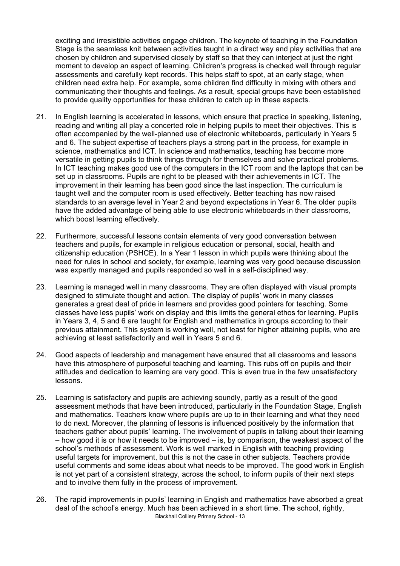exciting and irresistible activities engage children. The keynote of teaching in the Foundation Stage is the seamless knit between activities taught in a direct way and play activities that are chosen by children and supervised closely by staff so that they can interject at just the right moment to develop an aspect of learning. Children's progress is checked well through regular assessments and carefully kept records. This helps staff to spot, at an early stage, when children need extra help. For example, some children find difficulty in mixing with others and communicating their thoughts and feelings. As a result, special groups have been established to provide quality opportunities for these children to catch up in these aspects.

- 21. In English learning is accelerated in lessons, which ensure that practice in speaking, listening, reading and writing all play a concerted role in helping pupils to meet their objectives. This is often accompanied by the well-planned use of electronic whiteboards, particularly in Years 5 and 6. The subject expertise of teachers plays a strong part in the process, for example in science, mathematics and ICT. In science and mathematics, teaching has become more versatile in getting pupils to think things through for themselves and solve practical problems. In ICT teaching makes good use of the computers in the ICT room and the laptops that can be set up in classrooms. Pupils are right to be pleased with their achievements in ICT. The improvement in their learning has been good since the last inspection. The curriculum is taught well and the computer room is used effectively. Better teaching has now raised standards to an average level in Year 2 and beyond expectations in Year 6. The older pupils have the added advantage of being able to use electronic whiteboards in their classrooms, which boost learning effectively.
- 22. Furthermore, successful lessons contain elements of very good conversation between teachers and pupils, for example in religious education or personal, social, health and citizenship education (PSHCE). In a Year 1 lesson in which pupils were thinking about the need for rules in school and society, for example, learning was very good because discussion was expertly managed and pupils responded so well in a self-disciplined way.
- 23. Learning is managed well in many classrooms. They are often displayed with visual prompts designed to stimulate thought and action. The display of pupils' work in many classes generates a great deal of pride in learners and provides good pointers for teaching. Some classes have less pupils' work on display and this limits the general ethos for learning. Pupils in Years 3, 4, 5 and 6 are taught for English and mathematics in groups according to their previous attainment. This system is working well, not least for higher attaining pupils, who are achieving at least satisfactorily and well in Years 5 and 6.
- 24. Good aspects of leadership and management have ensured that all classrooms and lessons have this atmosphere of purposeful teaching and learning. This rubs off on pupils and their attitudes and dedication to learning are very good. This is even true in the few unsatisfactory lessons.
- 25. Learning is satisfactory and pupils are achieving soundly, partly as a result of the good assessment methods that have been introduced, particularly in the Foundation Stage, English and mathematics. Teachers know where pupils are up to in their learning and what they need to do next. Moreover, the planning of lessons is influenced positively by the information that teachers gather about pupils' learning. The involvement of pupils in talking about their learning – how good it is or how it needs to be improved – is, by comparison, the weakest aspect of the school's methods of assessment. Work is well marked in English with teaching providing useful targets for improvement, but this is not the case in other subjects. Teachers provide useful comments and some ideas about what needs to be improved. The good work in English is not yet part of a consistent strategy, across the school, to inform pupils of their next steps and to involve them fully in the process of improvement.
- Blackhall Colliery Primary School 13 26. The rapid improvements in pupils' learning in English and mathematics have absorbed a great deal of the school's energy. Much has been achieved in a short time. The school, rightly,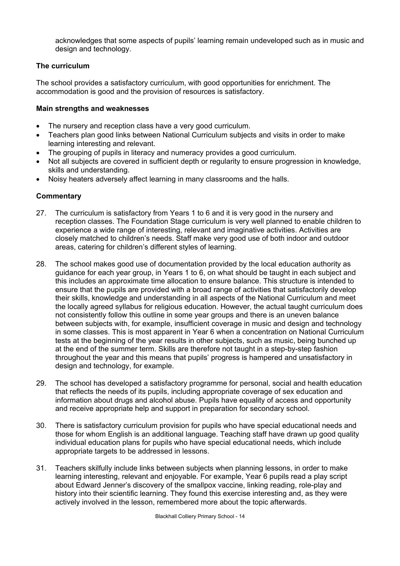acknowledges that some aspects of pupils' learning remain undeveloped such as in music and design and technology.

# **The curriculum**

The school provides a satisfactory curriculum, with good opportunities for enrichment. The accommodation is good and the provision of resources is satisfactory.

## **Main strengths and weaknesses**

- The nursery and reception class have a very good curriculum.
- Teachers plan good links between National Curriculum subjects and visits in order to make learning interesting and relevant.
- The grouping of pupils in literacy and numeracy provides a good curriculum.
- Not all subjects are covered in sufficient depth or regularity to ensure progression in knowledge, skills and understanding.
- Noisy heaters adversely affect learning in many classrooms and the halls.

- 27. The curriculum is satisfactory from Years 1 to 6 and it is very good in the nursery and reception classes. The Foundation Stage curriculum is very well planned to enable children to experience a wide range of interesting, relevant and imaginative activities. Activities are closely matched to children's needs. Staff make very good use of both indoor and outdoor areas, catering for children's different styles of learning.
- 28. The school makes good use of documentation provided by the local education authority as guidance for each year group, in Years 1 to 6, on what should be taught in each subject and this includes an approximate time allocation to ensure balance. This structure is intended to ensure that the pupils are provided with a broad range of activities that satisfactorily develop their skills, knowledge and understanding in all aspects of the National Curriculum and meet the locally agreed syllabus for religious education. However, the actual taught curriculum does not consistently follow this outline in some year groups and there is an uneven balance between subjects with, for example, insufficient coverage in music and design and technology in some classes. This is most apparent in Year 6 when a concentration on National Curriculum tests at the beginning of the year results in other subjects, such as music, being bunched up at the end of the summer term. Skills are therefore not taught in a step-by-step fashion throughout the year and this means that pupils' progress is hampered and unsatisfactory in design and technology, for example.
- 29. The school has developed a satisfactory programme for personal, social and health education that reflects the needs of its pupils, including appropriate coverage of sex education and information about drugs and alcohol abuse. Pupils have equality of access and opportunity and receive appropriate help and support in preparation for secondary school.
- 30. There is satisfactory curriculum provision for pupils who have special educational needs and those for whom English is an additional language. Teaching staff have drawn up good quality individual education plans for pupils who have special educational needs, which include appropriate targets to be addressed in lessons.
- 31. Teachers skilfully include links between subjects when planning lessons, in order to make learning interesting, relevant and enjoyable. For example, Year 6 pupils read a play script about Edward Jenner's discovery of the smallpox vaccine, linking reading, role-play and history into their scientific learning. They found this exercise interesting and, as they were actively involved in the lesson, remembered more about the topic afterwards.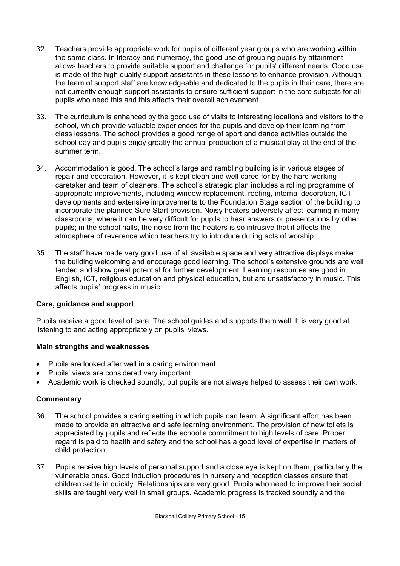- 32. Teachers provide appropriate work for pupils of different year groups who are working within the same class. In literacy and numeracy, the good use of grouping pupils by attainment allows teachers to provide suitable support and challenge for pupils' different needs. Good use is made of the high quality support assistants in these lessons to enhance provision. Although the team of support staff are knowledgeable and dedicated to the pupils in their care, there are not currently enough support assistants to ensure sufficient support in the core subjects for all pupils who need this and this affects their overall achievement.
- 33. The curriculum is enhanced by the good use of visits to interesting locations and visitors to the school, which provide valuable experiences for the pupils and develop their learning from class lessons. The school provides a good range of sport and dance activities outside the school day and pupils enjoy greatly the annual production of a musical play at the end of the summer term.
- 34. Accommodation is good. The school's large and rambling building is in various stages of repair and decoration. However, it is kept clean and well cared for by the hard-working caretaker and team of cleaners. The school's strategic plan includes a rolling programme of appropriate improvements, including window replacement, roofing, internal decoration, ICT developments and extensive improvements to the Foundation Stage section of the building to incorporate the planned Sure Start provision. Noisy heaters adversely affect learning in many classrooms, where it can be very difficult for pupils to hear answers or presentations by other pupils; in the school halls, the noise from the heaters is so intrusive that it affects the atmosphere of reverence which teachers try to introduce during acts of worship.
- 35. The staff have made very good use of all available space and very attractive displays make the building welcoming and encourage good learning. The school's extensive grounds are well tended and show great potential for further development. Learning resources are good in English, ICT, religious education and physical education, but are unsatisfactory in music. This affects pupils' progress in music.

### **Care, guidance and support**

Pupils receive a good level of care. The school guides and supports them well. It is very good at listening to and acting appropriately on pupils' views.

# **Main strengths and weaknesses**

- Pupils are looked after well in a caring environment.
- Pupils' views are considered very important.
- Academic work is checked soundly, but pupils are not always helped to assess their own work.

- 36. The school provides a caring setting in which pupils can learn. A significant effort has been made to provide an attractive and safe learning environment. The provision of new toilets is appreciated by pupils and reflects the school's commitment to high levels of care. Proper regard is paid to health and safety and the school has a good level of expertise in matters of child protection.
- 37. Pupils receive high levels of personal support and a close eye is kept on them, particularly the vulnerable ones. Good induction procedures in nursery and reception classes ensure that children settle in quickly. Relationships are very good. Pupils who need to improve their social skills are taught very well in small groups. Academic progress is tracked soundly and the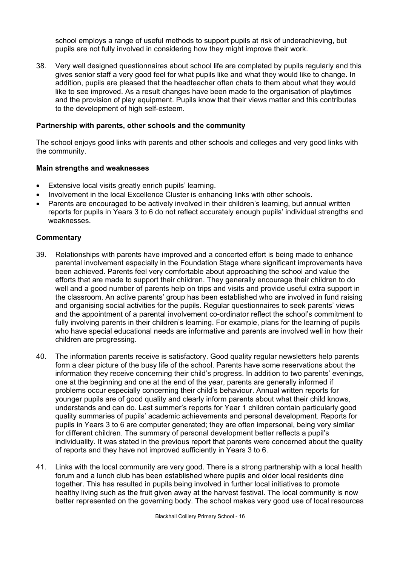school employs a range of useful methods to support pupils at risk of underachieving, but pupils are not fully involved in considering how they might improve their work.

38. Very well designed questionnaires about school life are completed by pupils regularly and this gives senior staff a very good feel for what pupils like and what they would like to change. In addition, pupils are pleased that the headteacher often chats to them about what they would like to see improved. As a result changes have been made to the organisation of playtimes and the provision of play equipment. Pupils know that their views matter and this contributes to the development of high self-esteem.

## **Partnership with parents, other schools and the community**

The school enjoys good links with parents and other schools and colleges and very good links with the community.

### **Main strengths and weaknesses**

- Extensive local visits greatly enrich pupils' learning.
- Involvement in the local Excellence Cluster is enhancing links with other schools.
- Parents are encouraged to be actively involved in their children's learning, but annual written reports for pupils in Years 3 to 6 do not reflect accurately enough pupils' individual strengths and weaknesses.

- 39. Relationships with parents have improved and a concerted effort is being made to enhance parental involvement especially in the Foundation Stage where significant improvements have been achieved. Parents feel very comfortable about approaching the school and value the efforts that are made to support their children. They generally encourage their children to do well and a good number of parents help on trips and visits and provide useful extra support in the classroom. An active parents' group has been established who are involved in fund raising and organising social activities for the pupils. Regular questionnaires to seek parents' views and the appointment of a parental involvement co-ordinator reflect the school's commitment to fully involving parents in their children's learning. For example, plans for the learning of pupils who have special educational needs are informative and parents are involved well in how their children are progressing.
- 40. The information parents receive is satisfactory. Good quality regular newsletters help parents form a clear picture of the busy life of the school. Parents have some reservations about the information they receive concerning their child's progress. In addition to two parents' evenings, one at the beginning and one at the end of the year, parents are generally informed if problems occur especially concerning their child's behaviour. Annual written reports for younger pupils are of good quality and clearly inform parents about what their child knows, understands and can do. Last summer's reports for Year 1 children contain particularly good quality summaries of pupils' academic achievements and personal development. Reports for pupils in Years 3 to 6 are computer generated; they are often impersonal, being very similar for different children. The summary of personal development better reflects a pupil's individuality. It was stated in the previous report that parents were concerned about the quality of reports and they have not improved sufficiently in Years 3 to 6.
- 41. Links with the local community are very good. There is a strong partnership with a local health forum and a lunch club has been established where pupils and older local residents dine together. This has resulted in pupils being involved in further local initiatives to promote healthy living such as the fruit given away at the harvest festival. The local community is now better represented on the governing body. The school makes very good use of local resources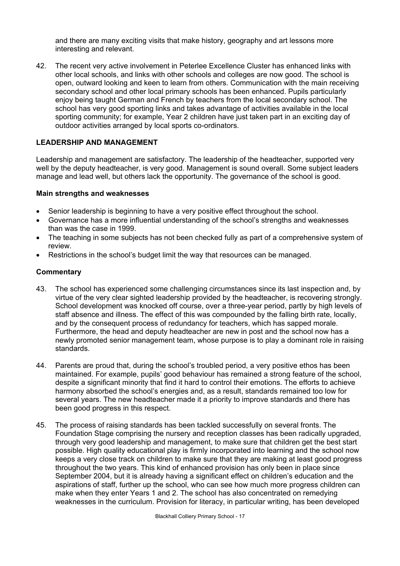and there are many exciting visits that make history, geography and art lessons more interesting and relevant.

42. The recent very active involvement in Peterlee Excellence Cluster has enhanced links with other local schools, and links with other schools and colleges are now good. The school is open, outward looking and keen to learn from others. Communication with the main receiving secondary school and other local primary schools has been enhanced. Pupils particularly enjoy being taught German and French by teachers from the local secondary school. The school has very good sporting links and takes advantage of activities available in the local sporting community; for example, Year 2 children have just taken part in an exciting day of outdoor activities arranged by local sports co-ordinators.

## **LEADERSHIP AND MANAGEMENT**

Leadership and management are satisfactory. The leadership of the headteacher, supported very well by the deputy headteacher, is very good. Management is sound overall. Some subject leaders manage and lead well, but others lack the opportunity. The governance of the school is good.

### **Main strengths and weaknesses**

- Senior leadership is beginning to have a very positive effect throughout the school.
- Governance has a more influential understanding of the school's strengths and weaknesses than was the case in 1999.
- The teaching in some subjects has not been checked fully as part of a comprehensive system of review.
- Restrictions in the school's budget limit the way that resources can be managed.

- 43. The school has experienced some challenging circumstances since its last inspection and, by virtue of the very clear sighted leadership provided by the headteacher, is recovering strongly. School development was knocked off course, over a three-year period, partly by high levels of staff absence and illness. The effect of this was compounded by the falling birth rate, locally, and by the consequent process of redundancy for teachers, which has sapped morale. Furthermore, the head and deputy headteacher are new in post and the school now has a newly promoted senior management team, whose purpose is to play a dominant role in raising standards.
- 44. Parents are proud that, during the school's troubled period, a very positive ethos has been maintained. For example, pupils' good behaviour has remained a strong feature of the school, despite a significant minority that find it hard to control their emotions. The efforts to achieve harmony absorbed the school's energies and, as a result, standards remained too low for several years. The new headteacher made it a priority to improve standards and there has been good progress in this respect.
- 45. The process of raising standards has been tackled successfully on several fronts. The Foundation Stage comprising the nursery and reception classes has been radically upgraded, through very good leadership and management, to make sure that children get the best start possible. High quality educational play is firmly incorporated into learning and the school now keeps a very close track on children to make sure that they are making at least good progress throughout the two years. This kind of enhanced provision has only been in place since September 2004, but it is already having a significant effect on children's education and the aspirations of staff, further up the school, who can see how much more progress children can make when they enter Years 1 and 2. The school has also concentrated on remedying weaknesses in the curriculum. Provision for literacy, in particular writing, has been developed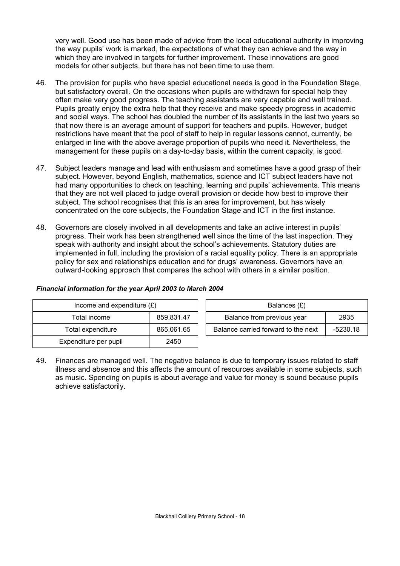very well. Good use has been made of advice from the local educational authority in improving the way pupils' work is marked, the expectations of what they can achieve and the way in which they are involved in targets for further improvement. These innovations are good models for other subjects, but there has not been time to use them.

- 46. The provision for pupils who have special educational needs is good in the Foundation Stage, but satisfactory overall. On the occasions when pupils are withdrawn for special help they often make very good progress. The teaching assistants are very capable and well trained. Pupils greatly enjoy the extra help that they receive and make speedy progress in academic and social ways. The school has doubled the number of its assistants in the last two years so that now there is an average amount of support for teachers and pupils. However, budget restrictions have meant that the pool of staff to help in regular lessons cannot, currently, be enlarged in line with the above average proportion of pupils who need it. Nevertheless, the management for these pupils on a day-to-day basis, within the current capacity, is good.
- 47. Subject leaders manage and lead with enthusiasm and sometimes have a good grasp of their subject. However, beyond English, mathematics, science and ICT subject leaders have not had many opportunities to check on teaching, learning and pupils' achievements. This means that they are not well placed to judge overall provision or decide how best to improve their subject. The school recognises that this is an area for improvement, but has wisely concentrated on the core subjects, the Foundation Stage and ICT in the first instance.
- 48. Governors are closely involved in all developments and take an active interest in pupils' progress. Their work has been strengthened well since the time of the last inspection. They speak with authority and insight about the school's achievements. Statutory duties are implemented in full, including the provision of a racial equality policy. There is an appropriate policy for sex and relationships education and for drugs' awareness. Governors have an outward-looking approach that compares the school with others in a similar position.

| Income and expenditure $(E)$ |            | Balances (£)                                      |  |
|------------------------------|------------|---------------------------------------------------|--|
| Total income                 | 859,831.47 | Balance from previous year<br>2935                |  |
| Total expenditure            | 865,061.65 | Balance carried forward to the next<br>$-5230.18$ |  |
| Expenditure per pupil        | 2450       |                                                   |  |

### *Financial information for the year April 2003 to March 2004*

49. Finances are managed well. The negative balance is due to temporary issues related to staff illness and absence and this affects the amount of resources available in some subjects, such as music. Spending on pupils is about average and value for money is sound because pupils achieve satisfactorily.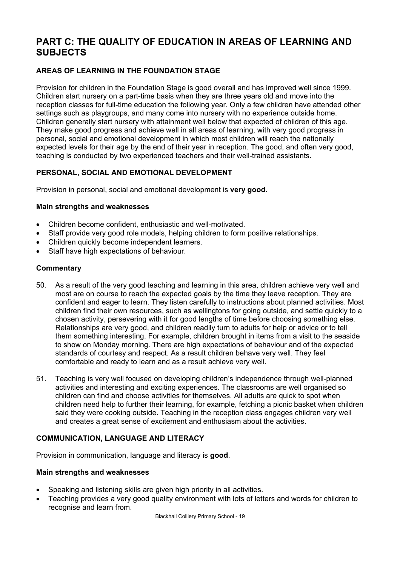# **PART C: THE QUALITY OF EDUCATION IN AREAS OF LEARNING AND SUBJECTS**

# **AREAS OF LEARNING IN THE FOUNDATION STAGE**

Provision for children in the Foundation Stage is good overall and has improved well since 1999. Children start nursery on a part-time basis when they are three years old and move into the reception classes for full-time education the following year. Only a few children have attended other settings such as playgroups, and many come into nursery with no experience outside home. Children generally start nursery with attainment well below that expected of children of this age. They make good progress and achieve well in all areas of learning, with very good progress in personal, social and emotional development in which most children will reach the nationally expected levels for their age by the end of their year in reception. The good, and often very good, teaching is conducted by two experienced teachers and their well-trained assistants.

# **PERSONAL, SOCIAL AND EMOTIONAL DEVELOPMENT**

Provision in personal, social and emotional development is **very good**.

## **Main strengths and weaknesses**

- Children become confident, enthusiastic and well-motivated.
- Staff provide very good role models, helping children to form positive relationships.
- Children quickly become independent learners.
- Staff have high expectations of behaviour.

## **Commentary**

- 50. As a result of the very good teaching and learning in this area, children achieve very well and most are on course to reach the expected goals by the time they leave reception. They are confident and eager to learn. They listen carefully to instructions about planned activities. Most children find their own resources, such as wellingtons for going outside, and settle quickly to a chosen activity, persevering with it for good lengths of time before choosing something else. Relationships are very good, and children readily turn to adults for help or advice or to tell them something interesting. For example, children brought in items from a visit to the seaside to show on Monday morning. There are high expectations of behaviour and of the expected standards of courtesy and respect. As a result children behave very well. They feel comfortable and ready to learn and as a result achieve very well.
- 51. Teaching is very well focused on developing children's independence through well-planned activities and interesting and exciting experiences. The classrooms are well organised so children can find and choose activities for themselves. All adults are quick to spot when children need help to further their learning, for example, fetching a picnic basket when children said they were cooking outside. Teaching in the reception class engages children very well and creates a great sense of excitement and enthusiasm about the activities.

# **COMMUNICATION, LANGUAGE AND LITERACY**

Provision in communication, language and literacy is **good**.

### **Main strengths and weaknesses**

- Speaking and listening skills are given high priority in all activities.
- Teaching provides a very good quality environment with lots of letters and words for children to recognise and learn from.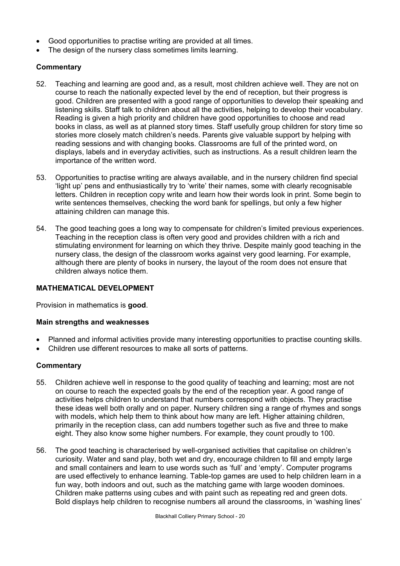- Good opportunities to practise writing are provided at all times.
- The design of the nursery class sometimes limits learning.

## **Commentary**

- 52. Teaching and learning are good and, as a result, most children achieve well. They are not on course to reach the nationally expected level by the end of reception, but their progress is good. Children are presented with a good range of opportunities to develop their speaking and listening skills. Staff talk to children about all the activities, helping to develop their vocabulary. Reading is given a high priority and children have good opportunities to choose and read books in class, as well as at planned story times. Staff usefully group children for story time so stories more closely match children's needs. Parents give valuable support by helping with reading sessions and with changing books. Classrooms are full of the printed word, on displays, labels and in everyday activities, such as instructions. As a result children learn the importance of the written word.
- 53. Opportunities to practise writing are always available, and in the nursery children find special 'light up' pens and enthusiastically try to 'write' their names, some with clearly recognisable letters. Children in reception copy write and learn how their words look in print. Some begin to write sentences themselves, checking the word bank for spellings, but only a few higher attaining children can manage this.
- 54. The good teaching goes a long way to compensate for children's limited previous experiences. Teaching in the reception class is often very good and provides children with a rich and stimulating environment for learning on which they thrive. Despite mainly good teaching in the nursery class, the design of the classroom works against very good learning. For example, although there are plenty of books in nursery, the layout of the room does not ensure that children always notice them.

# **MATHEMATICAL DEVELOPMENT**

Provision in mathematics is **good**.

### **Main strengths and weaknesses**

- Planned and informal activities provide many interesting opportunities to practise counting skills.
- Children use different resources to make all sorts of patterns.

- 55. Children achieve well in response to the good quality of teaching and learning; most are not on course to reach the expected goals by the end of the reception year. A good range of activities helps children to understand that numbers correspond with objects. They practise these ideas well both orally and on paper. Nursery children sing a range of rhymes and songs with models, which help them to think about how many are left. Higher attaining children, primarily in the reception class, can add numbers together such as five and three to make eight. They also know some higher numbers. For example, they count proudly to 100.
- 56. The good teaching is characterised by well-organised activities that capitalise on children's curiosity. Water and sand play, both wet and dry, encourage children to fill and empty large and small containers and learn to use words such as 'full' and 'empty'. Computer programs are used effectively to enhance learning. Table-top games are used to help children learn in a fun way, both indoors and out, such as the matching game with large wooden dominoes. Children make patterns using cubes and with paint such as repeating red and green dots. Bold displays help children to recognise numbers all around the classrooms, in 'washing lines'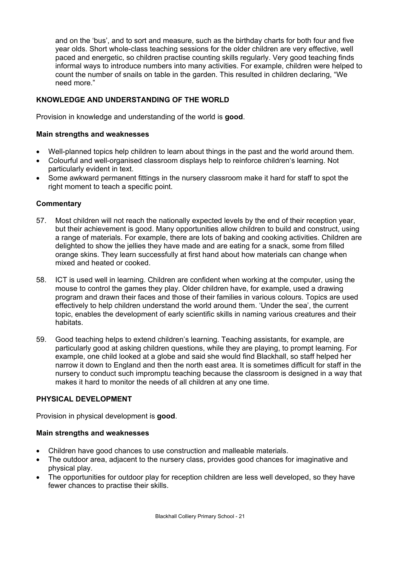and on the 'bus', and to sort and measure, such as the birthday charts for both four and five year olds. Short whole-class teaching sessions for the older children are very effective, well paced and energetic, so children practise counting skills regularly. Very good teaching finds informal ways to introduce numbers into many activities. For example, children were helped to count the number of snails on table in the garden. This resulted in children declaring, "We need more."

# **KNOWLEDGE AND UNDERSTANDING OF THE WORLD**

Provision in knowledge and understanding of the world is **good**.

## **Main strengths and weaknesses**

- Well-planned topics help children to learn about things in the past and the world around them.
- Colourful and well-organised classroom displays help to reinforce children's learning. Not particularly evident in text.
- Some awkward permanent fittings in the nursery classroom make it hard for staff to spot the right moment to teach a specific point.

## **Commentary**

- 57. Most children will not reach the nationally expected levels by the end of their reception year, but their achievement is good. Many opportunities allow children to build and construct, using a range of materials. For example, there are lots of baking and cooking activities. Children are delighted to show the jellies they have made and are eating for a snack, some from filled orange skins. They learn successfully at first hand about how materials can change when mixed and heated or cooked.
- 58. ICT is used well in learning. Children are confident when working at the computer, using the mouse to control the games they play. Older children have, for example, used a drawing program and drawn their faces and those of their families in various colours. Topics are used effectively to help children understand the world around them. 'Under the sea', the current topic, enables the development of early scientific skills in naming various creatures and their habitats.
- 59. Good teaching helps to extend children's learning. Teaching assistants, for example, are particularly good at asking children questions, while they are playing, to prompt learning. For example, one child looked at a globe and said she would find Blackhall, so staff helped her narrow it down to England and then the north east area. It is sometimes difficult for staff in the nursery to conduct such impromptu teaching because the classroom is designed in a way that makes it hard to monitor the needs of all children at any one time.

# **PHYSICAL DEVELOPMENT**

Provision in physical development is **good**.

### **Main strengths and weaknesses**

- Children have good chances to use construction and malleable materials.
- The outdoor area, adjacent to the nursery class, provides good chances for imaginative and physical play.
- The opportunities for outdoor play for reception children are less well developed, so they have fewer chances to practise their skills.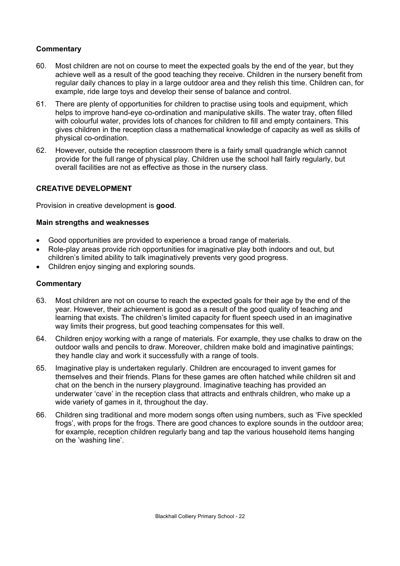# **Commentary**

- 60. Most children are not on course to meet the expected goals by the end of the year, but they achieve well as a result of the good teaching they receive. Children in the nursery benefit from regular daily chances to play in a large outdoor area and they relish this time. Children can, for example, ride large toys and develop their sense of balance and control.
- 61. There are plenty of opportunities for children to practise using tools and equipment, which helps to improve hand-eye co-ordination and manipulative skills. The water tray, often filled with colourful water, provides lots of chances for children to fill and empty containers. This gives children in the reception class a mathematical knowledge of capacity as well as skills of physical co-ordination.
- 62. However, outside the reception classroom there is a fairly small quadrangle which cannot provide for the full range of physical play. Children use the school hall fairly regularly, but overall facilities are not as effective as those in the nursery class.

## **CREATIVE DEVELOPMENT**

Provision in creative development is **good**.

## **Main strengths and weaknesses**

- Good opportunities are provided to experience a broad range of materials.
- Role-play areas provide rich opportunities for imaginative play both indoors and out, but children's limited ability to talk imaginatively prevents very good progress.
- Children enjoy singing and exploring sounds.

- 63. Most children are not on course to reach the expected goals for their age by the end of the year. However, their achievement is good as a result of the good quality of teaching and learning that exists. The children's limited capacity for fluent speech used in an imaginative way limits their progress, but good teaching compensates for this well.
- 64. Children enjoy working with a range of materials. For example, they use chalks to draw on the outdoor walls and pencils to draw. Moreover, children make bold and imaginative paintings; they handle clay and work it successfully with a range of tools.
- 65. Imaginative play is undertaken regularly. Children are encouraged to invent games for themselves and their friends. Plans for these games are often hatched while children sit and chat on the bench in the nursery playground. Imaginative teaching has provided an underwater 'cave' in the reception class that attracts and enthrals children, who make up a wide variety of games in it, throughout the day.
- 66. Children sing traditional and more modern songs often using numbers, such as 'Five speckled frogs', with props for the frogs. There are good chances to explore sounds in the outdoor area; for example, reception children regularly bang and tap the various household items hanging on the 'washing line'.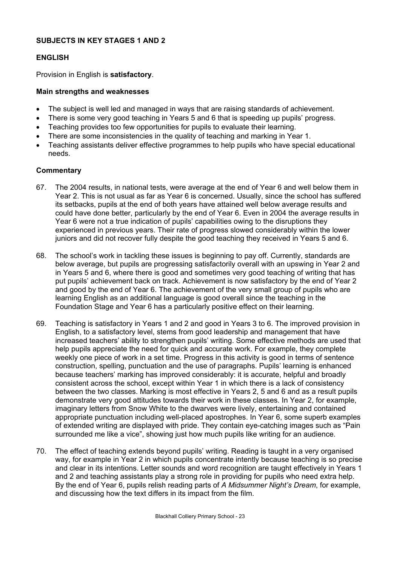## **SUBJECTS IN KEY STAGES 1 AND 2**

## **ENGLISH**

Provision in English is **satisfactory**.

## **Main strengths and weaknesses**

- The subject is well led and managed in ways that are raising standards of achievement.
- There is some very good teaching in Years 5 and 6 that is speeding up pupils' progress.
- Teaching provides too few opportunities for pupils to evaluate their learning.
- There are some inconsistencies in the quality of teaching and marking in Year 1.
- Teaching assistants deliver effective programmes to help pupils who have special educational needs.

- 67. The 2004 results, in national tests, were average at the end of Year 6 and well below them in Year 2. This is not usual as far as Year 6 is concerned. Usually, since the school has suffered its setbacks, pupils at the end of both years have attained well below average results and could have done better, particularly by the end of Year 6. Even in 2004 the average results in Year 6 were not a true indication of pupils' capabilities owing to the disruptions they experienced in previous years. Their rate of progress slowed considerably within the lower juniors and did not recover fully despite the good teaching they received in Years 5 and 6.
- 68. The school's work in tackling these issues is beginning to pay off. Currently, standards are below average, but pupils are progressing satisfactorily overall with an upswing in Year 2 and in Years 5 and 6, where there is good and sometimes very good teaching of writing that has put pupils' achievement back on track. Achievement is now satisfactory by the end of Year 2 and good by the end of Year 6. The achievement of the very small group of pupils who are learning English as an additional language is good overall since the teaching in the Foundation Stage and Year 6 has a particularly positive effect on their learning.
- 69. Teaching is satisfactory in Years 1 and 2 and good in Years 3 to 6. The improved provision in English, to a satisfactory level, stems from good leadership and management that have increased teachers' ability to strengthen pupils' writing. Some effective methods are used that help pupils appreciate the need for quick and accurate work. For example, they complete weekly one piece of work in a set time. Progress in this activity is good in terms of sentence construction, spelling, punctuation and the use of paragraphs. Pupils' learning is enhanced because teachers' marking has improved considerably: it is accurate, helpful and broadly consistent across the school, except within Year 1 in which there is a lack of consistency between the two classes. Marking is most effective in Years 2, 5 and 6 and as a result pupils demonstrate very good attitudes towards their work in these classes. In Year 2, for example, imaginary letters from Snow White to the dwarves were lively, entertaining and contained appropriate punctuation including well-placed apostrophes. In Year 6, some superb examples of extended writing are displayed with pride. They contain eye-catching images such as "Pain surrounded me like a vice", showing just how much pupils like writing for an audience.
- 70. The effect of teaching extends beyond pupils' writing. Reading is taught in a very organised way, for example in Year 2 in which pupils concentrate intently because teaching is so precise and clear in its intentions. Letter sounds and word recognition are taught effectively in Years 1 and 2 and teaching assistants play a strong role in providing for pupils who need extra help. By the end of Year 6, pupils relish reading parts of *A Midsummer Night's Dream*, for example, and discussing how the text differs in its impact from the film.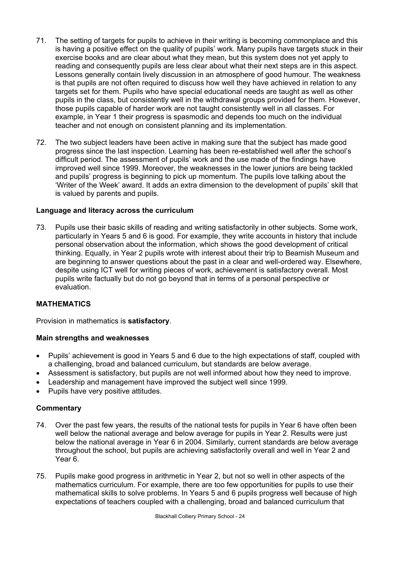- 71. The setting of targets for pupils to achieve in their writing is becoming commonplace and this is having a positive effect on the quality of pupils' work. Many pupils have targets stuck in their exercise books and are clear about what they mean, but this system does not yet apply to reading and consequently pupils are less clear about what their next steps are in this aspect. Lessons generally contain lively discussion in an atmosphere of good humour. The weakness is that pupils are not often required to discuss how well they have achieved in relation to any targets set for them. Pupils who have special educational needs are taught as well as other pupils in the class, but consistently well in the withdrawal groups provided for them. However, those pupils capable of harder work are not taught consistently well in all classes. For example, in Year 1 their progress is spasmodic and depends too much on the individual teacher and not enough on consistent planning and its implementation.
- 72. The two subject leaders have been active in making sure that the subject has made good progress since the last inspection. Learning has been re-established well after the school's difficult period. The assessment of pupils' work and the use made of the findings have improved well since 1999. Moreover, the weaknesses in the lower juniors are being tackled and pupils' progress is beginning to pick up momentum. The pupils love talking about the 'Writer of the Week' award. It adds an extra dimension to the development of pupils' skill that is valued by parents and pupils.

### **Language and literacy across the curriculum**

73. Pupils use their basic skills of reading and writing satisfactorily in other subjects. Some work, particularly in Years 5 and 6 is good. For example, they write accounts in history that include personal observation about the information, which shows the good development of critical thinking. Equally, in Year 2 pupils wrote with interest about their trip to Beamish Museum and are beginning to answer questions about the past in a clear and well-ordered way. Elsewhere, despite using ICT well for writing pieces of work, achievement is satisfactory overall. Most pupils write factually but do not go beyond that in terms of a personal perspective or evaluation.

# **MATHEMATICS**

Provision in mathematics is **satisfactory**.

### **Main strengths and weaknesses**

- Pupils' achievement is good in Years 5 and 6 due to the high expectations of staff, coupled with a challenging, broad and balanced curriculum, but standards are below average.
- Assessment is satisfactory, but pupils are not well informed about how they need to improve.
- Leadership and management have improved the subject well since 1999.
- Pupils have very positive attitudes.

- 74. Over the past few years, the results of the national tests for pupils in Year 6 have often been well below the national average and below average for pupils in Year 2. Results were just below the national average in Year 6 in 2004. Similarly, current standards are below average throughout the school, but pupils are achieving satisfactorily overall and well in Year 2 and Year 6.
- 75. Pupils make good progress in arithmetic in Year 2, but not so well in other aspects of the mathematics curriculum. For example, there are too few opportunities for pupils to use their mathematical skills to solve problems. In Years 5 and 6 pupils progress well because of high expectations of teachers coupled with a challenging, broad and balanced curriculum that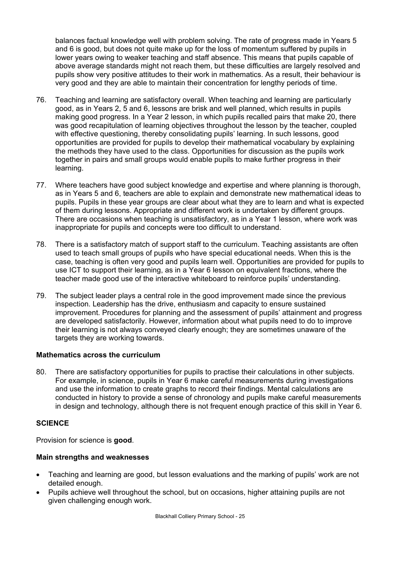balances factual knowledge well with problem solving. The rate of progress made in Years 5 and 6 is good, but does not quite make up for the loss of momentum suffered by pupils in lower years owing to weaker teaching and staff absence. This means that pupils capable of above average standards might not reach them, but these difficulties are largely resolved and pupils show very positive attitudes to their work in mathematics. As a result, their behaviour is very good and they are able to maintain their concentration for lengthy periods of time.

- 76. Teaching and learning are satisfactory overall. When teaching and learning are particularly good, as in Years 2, 5 and 6, lessons are brisk and well planned, which results in pupils making good progress. In a Year 2 lesson, in which pupils recalled pairs that make 20, there was good recapitulation of learning objectives throughout the lesson by the teacher, coupled with effective questioning, thereby consolidating pupils' learning. In such lessons, good opportunities are provided for pupils to develop their mathematical vocabulary by explaining the methods they have used to the class. Opportunities for discussion as the pupils work together in pairs and small groups would enable pupils to make further progress in their learning.
- 77. Where teachers have good subject knowledge and expertise and where planning is thorough, as in Years 5 and 6, teachers are able to explain and demonstrate new mathematical ideas to pupils. Pupils in these year groups are clear about what they are to learn and what is expected of them during lessons. Appropriate and different work is undertaken by different groups. There are occasions when teaching is unsatisfactory, as in a Year 1 lesson, where work was inappropriate for pupils and concepts were too difficult to understand.
- 78. There is a satisfactory match of support staff to the curriculum. Teaching assistants are often used to teach small groups of pupils who have special educational needs. When this is the case, teaching is often very good and pupils learn well. Opportunities are provided for pupils to use ICT to support their learning, as in a Year 6 lesson on equivalent fractions, where the teacher made good use of the interactive whiteboard to reinforce pupils' understanding.
- 79. The subject leader plays a central role in the good improvement made since the previous inspection. Leadership has the drive, enthusiasm and capacity to ensure sustained improvement. Procedures for planning and the assessment of pupils' attainment and progress are developed satisfactorily. However, information about what pupils need to do to improve their learning is not always conveyed clearly enough; they are sometimes unaware of the targets they are working towards.

# **Mathematics across the curriculum**

80. There are satisfactory opportunities for pupils to practise their calculations in other subjects. For example, in science, pupils in Year 6 make careful measurements during investigations and use the information to create graphs to record their findings. Mental calculations are conducted in history to provide a sense of chronology and pupils make careful measurements in design and technology, although there is not frequent enough practice of this skill in Year 6.

### **SCIENCE**

Provision for science is **good**.

### **Main strengths and weaknesses**

- Teaching and learning are good, but lesson evaluations and the marking of pupils' work are not detailed enough.
- Pupils achieve well throughout the school, but on occasions, higher attaining pupils are not given challenging enough work.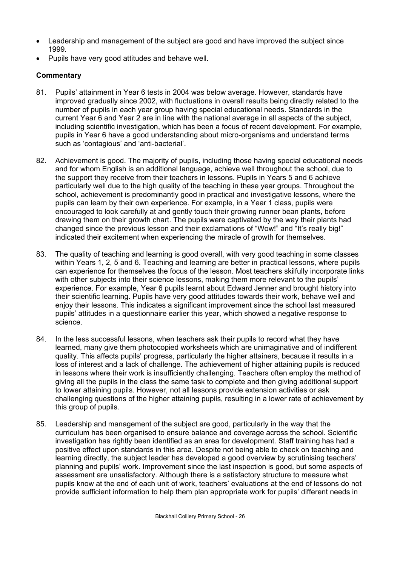- Leadership and management of the subject are good and have improved the subject since 1999.
- Pupils have very good attitudes and behave well.

- 81. Pupils' attainment in Year 6 tests in 2004 was below average. However, standards have improved gradually since 2002, with fluctuations in overall results being directly related to the number of pupils in each year group having special educational needs. Standards in the current Year 6 and Year 2 are in line with the national average in all aspects of the subject, including scientific investigation, which has been a focus of recent development. For example, pupils in Year 6 have a good understanding about micro-organisms and understand terms such as 'contagious' and 'anti-bacterial'.
- 82. Achievement is good. The majority of pupils, including those having special educational needs and for whom English is an additional language, achieve well throughout the school, due to the support they receive from their teachers in lessons. Pupils in Years 5 and 6 achieve particularly well due to the high quality of the teaching in these year groups. Throughout the school, achievement is predominantly good in practical and investigative lessons, where the pupils can learn by their own experience. For example, in a Year 1 class, pupils were encouraged to look carefully at and gently touch their growing runner bean plants, before drawing them on their growth chart. The pupils were captivated by the way their plants had changed since the previous lesson and their exclamations of "Wow!" and "It's really big!" indicated their excitement when experiencing the miracle of growth for themselves.
- 83. The quality of teaching and learning is good overall, with very good teaching in some classes within Years 1, 2, 5 and 6. Teaching and learning are better in practical lessons, where pupils can experience for themselves the focus of the lesson. Most teachers skilfully incorporate links with other subjects into their science lessons, making them more relevant to the pupils' experience. For example, Year 6 pupils learnt about Edward Jenner and brought history into their scientific learning. Pupils have very good attitudes towards their work, behave well and enjoy their lessons. This indicates a significant improvement since the school last measured pupils' attitudes in a questionnaire earlier this year, which showed a negative response to science.
- 84. In the less successful lessons, when teachers ask their pupils to record what they have learned, many give them photocopied worksheets which are unimaginative and of indifferent quality. This affects pupils' progress, particularly the higher attainers, because it results in a loss of interest and a lack of challenge. The achievement of higher attaining pupils is reduced in lessons where their work is insufficiently challenging. Teachers often employ the method of giving all the pupils in the class the same task to complete and then giving additional support to lower attaining pupils. However, not all lessons provide extension activities or ask challenging questions of the higher attaining pupils, resulting in a lower rate of achievement by this group of pupils.
- 85. Leadership and management of the subject are good, particularly in the way that the curriculum has been organised to ensure balance and coverage across the school. Scientific investigation has rightly been identified as an area for development. Staff training has had a positive effect upon standards in this area. Despite not being able to check on teaching and learning directly, the subject leader has developed a good overview by scrutinising teachers' planning and pupils' work. Improvement since the last inspection is good, but some aspects of assessment are unsatisfactory. Although there is a satisfactory structure to measure what pupils know at the end of each unit of work, teachers' evaluations at the end of lessons do not provide sufficient information to help them plan appropriate work for pupils' different needs in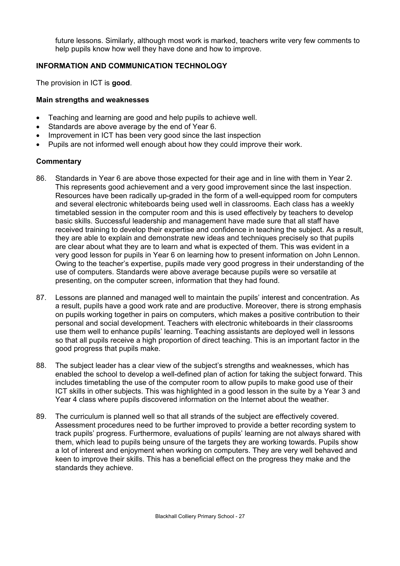future lessons. Similarly, although most work is marked, teachers write very few comments to help pupils know how well they have done and how to improve.

## **INFORMATION AND COMMUNICATION TECHNOLOGY**

The provision in ICT is **good**.

### **Main strengths and weaknesses**

- Teaching and learning are good and help pupils to achieve well.
- Standards are above average by the end of Year 6.
- Improvement in ICT has been very good since the last inspection
- Pupils are not informed well enough about how they could improve their work.

- 86. Standards in Year 6 are above those expected for their age and in line with them in Year 2. This represents good achievement and a very good improvement since the last inspection. Resources have been radically up-graded in the form of a well-equipped room for computers and several electronic whiteboards being used well in classrooms. Each class has a weekly timetabled session in the computer room and this is used effectively by teachers to develop basic skills. Successful leadership and management have made sure that all staff have received training to develop their expertise and confidence in teaching the subject. As a result, they are able to explain and demonstrate new ideas and techniques precisely so that pupils are clear about what they are to learn and what is expected of them. This was evident in a very good lesson for pupils in Year 6 on learning how to present information on John Lennon. Owing to the teacher's expertise, pupils made very good progress in their understanding of the use of computers. Standards were above average because pupils were so versatile at presenting, on the computer screen, information that they had found.
- 87. Lessons are planned and managed well to maintain the pupils' interest and concentration. As a result, pupils have a good work rate and are productive. Moreover, there is strong emphasis on pupils working together in pairs on computers, which makes a positive contribution to their personal and social development. Teachers with electronic whiteboards in their classrooms use them well to enhance pupils' learning. Teaching assistants are deployed well in lessons so that all pupils receive a high proportion of direct teaching. This is an important factor in the good progress that pupils make.
- 88. The subject leader has a clear view of the subject's strengths and weaknesses, which has enabled the school to develop a well-defined plan of action for taking the subject forward. This includes timetabling the use of the computer room to allow pupils to make good use of their ICT skills in other subjects. This was highlighted in a good lesson in the suite by a Year 3 and Year 4 class where pupils discovered information on the Internet about the weather.
- 89. The curriculum is planned well so that all strands of the subject are effectively covered. Assessment procedures need to be further improved to provide a better recording system to track pupils' progress. Furthermore, evaluations of pupils' learning are not always shared with them, which lead to pupils being unsure of the targets they are working towards. Pupils show a lot of interest and enjoyment when working on computers. They are very well behaved and keen to improve their skills. This has a beneficial effect on the progress they make and the standards they achieve.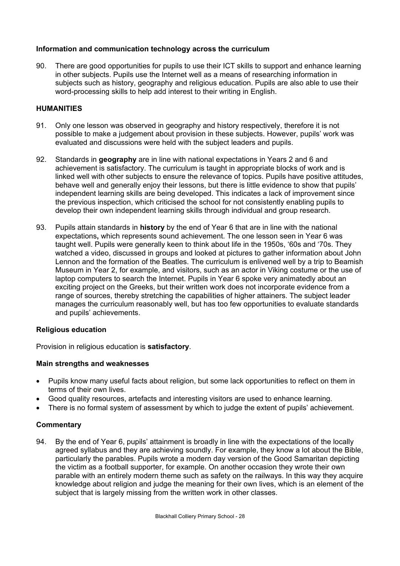# **Information and communication technology across the curriculum**

90. There are good opportunities for pupils to use their ICT skills to support and enhance learning in other subjects. Pupils use the Internet well as a means of researching information in subjects such as history, geography and religious education. Pupils are also able to use their word-processing skills to help add interest to their writing in English.

## **HUMANITIES**

- 91. Only one lesson was observed in geography and history respectively, therefore it is not possible to make a judgement about provision in these subjects. However, pupils' work was evaluated and discussions were held with the subject leaders and pupils.
- 92. Standards in **geography** are in line with national expectations in Years 2 and 6 and achievement is satisfactory. The curriculum is taught in appropriate blocks of work and is linked well with other subjects to ensure the relevance of topics. Pupils have positive attitudes, behave well and generally enjoy their lessons, but there is little evidence to show that pupils' independent learning skills are being developed. This indicates a lack of improvement since the previous inspection, which criticised the school for not consistently enabling pupils to develop their own independent learning skills through individual and group research.
- 93. Pupils attain standards in **history** by the end of Year 6 that are in line with the national expectations**,** which represents sound achievement. The one lesson seen in Year 6 was taught well. Pupils were generally keen to think about life in the 1950s, '60s and '70s. They watched a video, discussed in groups and looked at pictures to gather information about John Lennon and the formation of the Beatles. The curriculum is enlivened well by a trip to Beamish Museum in Year 2, for example, and visitors, such as an actor in Viking costume or the use of laptop computers to search the Internet. Pupils in Year 6 spoke very animatedly about an exciting project on the Greeks, but their written work does not incorporate evidence from a range of sources, thereby stretching the capabilities of higher attainers. The subject leader manages the curriculum reasonably well, but has too few opportunities to evaluate standards and pupils' achievements.

### **Religious education**

Provision in religious education is **satisfactory**.

### **Main strengths and weaknesses**

- Pupils know many useful facts about religion, but some lack opportunities to reflect on them in terms of their own lives.
- Good quality resources, artefacts and interesting visitors are used to enhance learning.
- There is no formal system of assessment by which to judge the extent of pupils' achievement.

### **Commentary**

94. By the end of Year 6, pupils' attainment is broadly in line with the expectations of the locally agreed syllabus and they are achieving soundly. For example, they know a lot about the Bible, particularly the parables. Pupils wrote a modern day version of the Good Samaritan depicting the victim as a football supporter, for example. On another occasion they wrote their own parable with an entirely modern theme such as safety on the railways. In this way they acquire knowledge about religion and judge the meaning for their own lives, which is an element of the subject that is largely missing from the written work in other classes.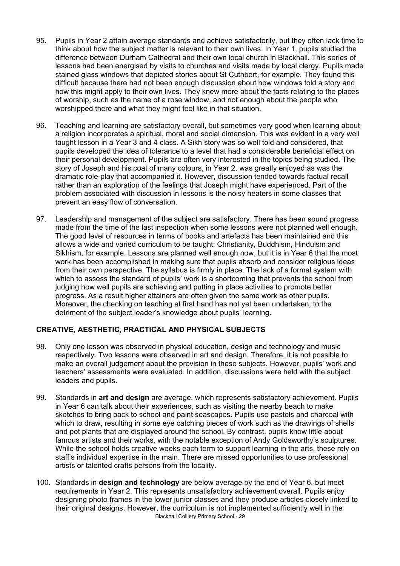- 95. Pupils in Year 2 attain average standards and achieve satisfactorily, but they often lack time to think about how the subject matter is relevant to their own lives. In Year 1, pupils studied the difference between Durham Cathedral and their own local church in Blackhall. This series of lessons had been energised by visits to churches and visits made by local clergy. Pupils made stained glass windows that depicted stories about St Cuthbert, for example. They found this difficult because there had not been enough discussion about how windows told a story and how this might apply to their own lives. They knew more about the facts relating to the places of worship, such as the name of a rose window, and not enough about the people who worshipped there and what they might feel like in that situation.
- 96. Teaching and learning are satisfactory overall, but sometimes very good when learning about a religion incorporates a spiritual, moral and social dimension. This was evident in a very well taught lesson in a Year 3 and 4 class. A Sikh story was so well told and considered, that pupils developed the idea of tolerance to a level that had a considerable beneficial effect on their personal development. Pupils are often very interested in the topics being studied. The story of Joseph and his coat of many colours, in Year 2, was greatly enjoyed as was the dramatic role-play that accompanied it. However, discussion tended towards factual recall rather than an exploration of the feelings that Joseph might have experienced. Part of the problem associated with discussion in lessons is the noisy heaters in some classes that prevent an easy flow of conversation.
- 97. Leadership and management of the subject are satisfactory. There has been sound progress made from the time of the last inspection when some lessons were not planned well enough. The good level of resources in terms of books and artefacts has been maintained and this allows a wide and varied curriculum to be taught: Christianity, Buddhism, Hinduism and Sikhism, for example. Lessons are planned well enough now, but it is in Year 6 that the most work has been accomplished in making sure that pupils absorb and consider religious ideas from their own perspective. The syllabus is firmly in place. The lack of a formal system with which to assess the standard of pupils' work is a shortcoming that prevents the school from judging how well pupils are achieving and putting in place activities to promote better progress. As a result higher attainers are often given the same work as other pupils. Moreover, the checking on teaching at first hand has not yet been undertaken, to the detriment of the subject leader's knowledge about pupils' learning.

# **CREATIVE, AESTHETIC, PRACTICAL AND PHYSICAL SUBJECTS**

- 98. Only one lesson was observed in physical education, design and technology and music respectively. Two lessons were observed in art and design. Therefore, it is not possible to make an overall judgement about the provision in these subjects. However, pupils' work and teachers' assessments were evaluated. In addition, discussions were held with the subject leaders and pupils.
- 99. Standards in **art and design** are average, which represents satisfactory achievement. Pupils in Year 6 can talk about their experiences, such as visiting the nearby beach to make sketches to bring back to school and paint seascapes. Pupils use pastels and charcoal with which to draw, resulting in some eye catching pieces of work such as the drawings of shells and pot plants that are displayed around the school. By contrast, pupils know little about famous artists and their works, with the notable exception of Andy Goldsworthy's sculptures. While the school holds creative weeks each term to support learning in the arts, these rely on staff's individual expertise in the main. There are missed opportunities to use professional artists or talented crafts persons from the locality.
- Blackhall Colliery Primary School 29 100. Standards in **design and technology** are below average by the end of Year 6, but meet requirements in Year 2. This represents unsatisfactory achievement overall. Pupils enjoy designing photo frames in the lower junior classes and they produce articles closely linked to their original designs. However, the curriculum is not implemented sufficiently well in the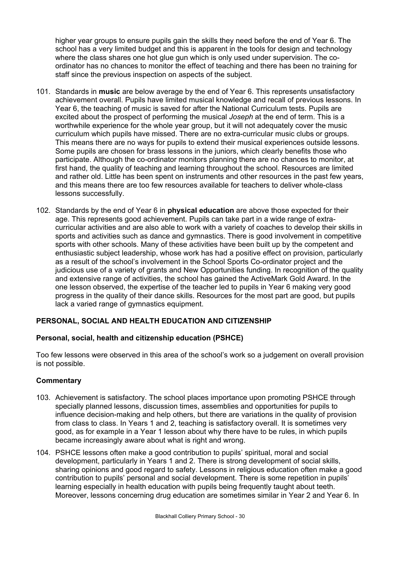higher year groups to ensure pupils gain the skills they need before the end of Year 6. The school has a very limited budget and this is apparent in the tools for design and technology where the class shares one hot glue gun which is only used under supervision. The coordinator has no chances to monitor the effect of teaching and there has been no training for staff since the previous inspection on aspects of the subject.

- 101. Standards in **music** are below average by the end of Year 6. This represents unsatisfactory achievement overall. Pupils have limited musical knowledge and recall of previous lessons. In Year 6, the teaching of music is saved for after the National Curriculum tests. Pupils are excited about the prospect of performing the musical *Joseph* at the end of term. This is a worthwhile experience for the whole year group, but it will not adequately cover the music curriculum which pupils have missed. There are no extra-curricular music clubs or groups. This means there are no ways for pupils to extend their musical experiences outside lessons. Some pupils are chosen for brass lessons in the juniors, which clearly benefits those who participate. Although the co-ordinator monitors planning there are no chances to monitor, at first hand, the quality of teaching and learning throughout the school. Resources are limited and rather old. Little has been spent on instruments and other resources in the past few years, and this means there are too few resources available for teachers to deliver whole-class lessons successfully.
- 102. Standards by the end of Year 6 in **physical education** are above those expected for their age. This represents good achievement. Pupils can take part in a wide range of extracurricular activities and are also able to work with a variety of coaches to develop their skills in sports and activities such as dance and gymnastics. There is good involvement in competitive sports with other schools. Many of these activities have been built up by the competent and enthusiastic subject leadership, whose work has had a positive effect on provision, particularly as a result of the school's involvement in the School Sports Co-ordinator project and the judicious use of a variety of grants and New Opportunities funding. In recognition of the quality and extensive range of activities, the school has gained the ActiveMark Gold Award. In the one lesson observed, the expertise of the teacher led to pupils in Year 6 making very good progress in the quality of their dance skills. Resources for the most part are good, but pupils lack a varied range of gymnastics equipment.

# **PERSONAL, SOCIAL AND HEALTH EDUCATION AND CITIZENSHIP**

### **Personal, social, health and citizenship education (PSHCE)**

Too few lessons were observed in this area of the school's work so a judgement on overall provision is not possible.

- 103. Achievement is satisfactory. The school places importance upon promoting PSHCE through specially planned lessons, discussion times, assemblies and opportunities for pupils to influence decision-making and help others, but there are variations in the quality of provision from class to class. In Years 1 and 2, teaching is satisfactory overall. It is sometimes very good, as for example in a Year 1 lesson about why there have to be rules, in which pupils became increasingly aware about what is right and wrong.
- 104. PSHCE lessons often make a good contribution to pupils' spiritual, moral and social development, particularly in Years 1 and 2. There is strong development of social skills, sharing opinions and good regard to safety. Lessons in religious education often make a good contribution to pupils' personal and social development. There is some repetition in pupils' learning especially in health education with pupils being frequently taught about teeth. Moreover, lessons concerning drug education are sometimes similar in Year 2 and Year 6. In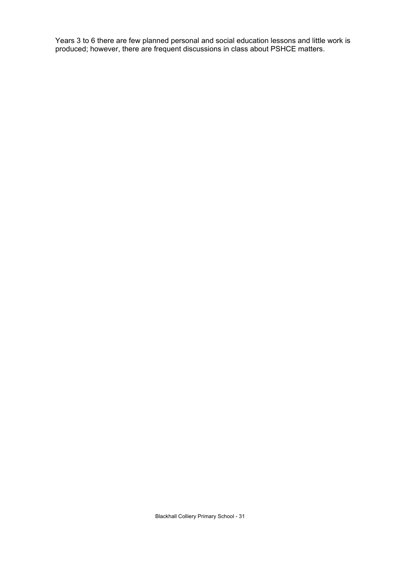Years 3 to 6 there are few planned personal and social education lessons and little work is produced; however, there are frequent discussions in class about PSHCE matters.